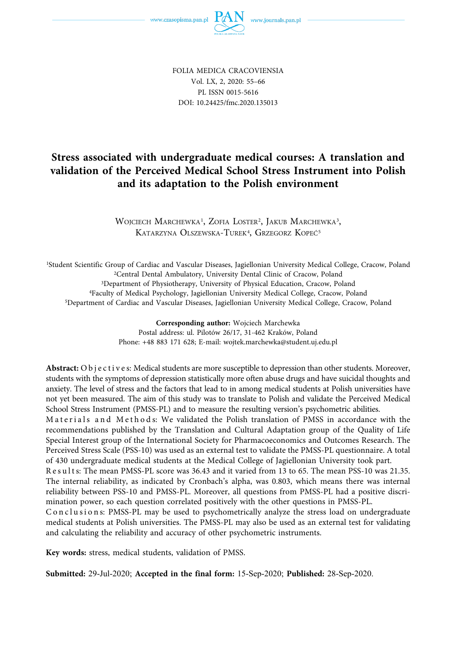FOLIA MEDICA CRACOVIENSIA Vol. LX, 2, 2020: 55–66 PL ISSN 0015-5616 DOI: 10.24425/fmc.2020.135013

# **Stress associated with undergraduate medical courses: A translation and validation of the Perceived Medical School Stress Instrument into Polish and its adaptation to the Polish environment**

WOJCIECH MARCHEWKA<sup>1</sup>, ZOFIA LOSTER<sup>2</sup>, JAKUB MARCHEWKA<sup>3</sup>, KATARZYNA OLSZEWSKA-TUREK<sup>4</sup>, GRZEGORZ KOPEĆ<sup>5</sup>

<sup>1</sup>Student Scientific Group of Cardiac and Vascular Diseases, Jagiellonian University Medical College, Cracow, Poland<br><sup>2</sup>Central Dental Ambulatory, University Dental Clinic of Cracow, Poland<br><sup>3</sup>Department of Physiotherapy,

**Corresponding author:** Wojciech Marchewka Postal address: ul. Pilotów 26/17, 31-462 Kraków, Poland Phone: +48 883 171 628; E-mail: wojtek.marchewka@student.uj.edu.pl

**Abstract:** Objective s: Medical students are more susceptible to depression than other students. Moreover, students with the symptoms of depression statistically more often abuse drugs and have suicidal thoughts and anxiety. The level of stress and the factors that lead to in among medical students at Polish universities have not yet been measured. The aim of this study was to translate to Polish and validate the Perceived Medical School Stress Instrument (PMSS-PL) and to measure the resulting version's psychometric abilities.

Materials and Method s: We validated the Polish translation of PMSS in accordance with the recommendations published by the Translation and Cultural Adaptation group of the Quality of Life Special Interest group of the International Society for Pharmacoeconomics and Outcomes Research. The Perceived Stress Scale (PSS-10) was used as an external test to validate the PMSS-PL questionnaire. A total of 430 undergraduate medical students at the Medical College of Jagiellonian University took part.

Results: The mean PMSS-PL score was 36.43 and it varied from 13 to 65. The mean PSS-10 was 21.35. The internal reliability, as indicated by Cronbach's alpha, was 0.803, which means there was internal reliability between PSS-10 and PMSS-PL. Moreover, all questions from PMSS-PL had a positive discrimination power, so each question correlated positively with the other questions in PMSS-PL.

Conclusion s: PMSS-PL may be used to psychometrically analyze the stress load on undergraduate medical students at Polish universities. The PMSS-PL may also be used as an external test for validating and calculating the reliability and accuracy of other psychometric instruments.

**Key words:** stress, medical students, validation of PMSS.

**Submitted:** 29-Jul-2020; **Accepted in the final form:** 15-Sep-2020; **Published:** 28-Sep-2020.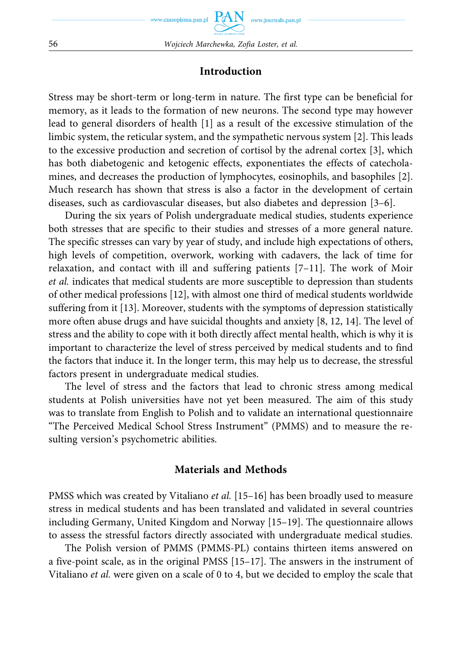#### **Introduction**

Stress may be short-term or long-term in nature. The first type can be beneficial for memory, as it leads to the formation of new neurons. The second type may however lead to general disorders of health [1] as a result of the excessive stimulation of the limbic system, the reticular system, and the sympathetic nervous system [2]. This leads to the excessive production and secretion of cortisol by the adrenal cortex [3], which has both diabetogenic and ketogenic effects, exponentiates the effects of catecholamines, and decreases the production of lymphocytes, eosinophils, and basophiles [2]. Much research has shown that stress is also a factor in the development of certain diseases, such as cardiovascular diseases, but also diabetes and depression [3–6].

During the six years of Polish undergraduate medical studies, students experience both stresses that are specific to their studies and stresses of a more general nature. The specific stresses can vary by year of study, and include high expectations of others, high levels of competition, overwork, working with cadavers, the lack of time for relaxation, and contact with ill and suffering patients  $[7-11]$ . The work of Moir *et al.* indicates that medical students are more susceptible to depression than students of other medical professions [12], with almost one third of medical students worldwide suffering from it [13]. Moreover, students with the symptoms of depression statistically more often abuse drugs and have suicidal thoughts and anxiety [8, 12, 14]. The level of stress and the ability to cope with it both directly affect mental health, which is why it is important to characterize the level of stress perceived by medical students and to find the factors that induce it. In the longer term, this may help us to decrease, the stressful factors present in undergraduate medical studies.

The level of stress and the factors that lead to chronic stress among medical students at Polish universities have not yet been measured. The aim of this study was to translate from English to Polish and to validate an international questionnaire "The Perceived Medical School Stress Instrument" (PMMS) and to measure the resulting version's psychometric abilities.

#### **Materials and Methods**

PMSS which was created by Vitaliano *et al.* [15-16] has been broadly used to measure stress in medical students and has been translated and validated in several countries including Germany, United Kingdom and Norway [15–19]. The questionnaire allows to assess the stressful factors directly associated with undergraduate medical studies.

The Polish version of PMMS (PMMS-PL) contains thirteen items answered on a five-point scale, as in the original PMSS [15–17]. The answers in the instrument of Vitaliano *et al.* were given on a scale of 0 to 4, but we decided to employ the scale that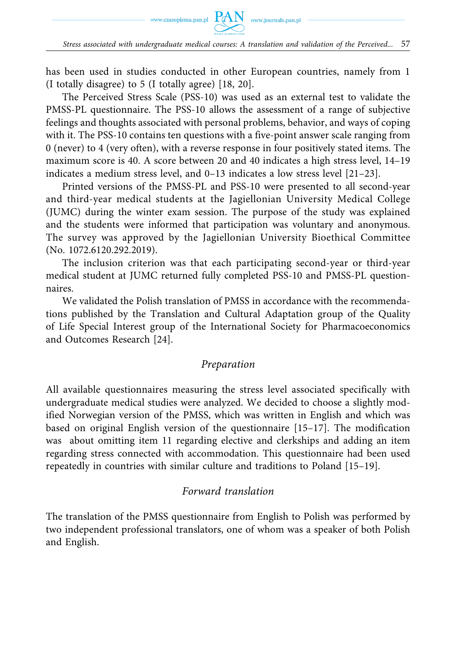has been used in studies conducted in other European countries, namely from 1 (I totally disagree) to 5 (I totally agree) [18, 20].

The Perceived Stress Scale (PSS-10) was used as an external test to validate the PMSS-PL questionnaire. The PSS-10 allows the assessment of a range of subjective feelings and thoughts associated with personal problems, behavior, and ways of coping with it. The PSS-10 contains ten questions with a five-point answer scale ranging from 0 (never) to 4 (very often), with a reverse response in four positively stated items. The maximum score is 40. A score between 20 and 40 indicates a high stress level, 14–19 indicates a medium stress level, and 0–13 indicates a low stress level [21–23].

Printed versions of the PMSS-PL and PSS-10 were presented to all second-year and third-year medical students at the Jagiellonian University Medical College (JUMC) during the winter exam session. The purpose of the study was explained and the students were informed that participation was voluntary and anonymous. The survey was approved by the Jagiellonian University Bioethical Committee (No. 1072.6120.292.2019).

The inclusion criterion was that each participating second-year or third-year medical student at JUMC returned fully completed PSS-10 and PMSS-PL questionnaires.

We validated the Polish translation of PMSS in accordance with the recommendations published by the Translation and Cultural Adaptation group of the Quality of Life Special Interest group of the International Society for Pharmacoeconomics and Outcomes Research [24].

#### *Preparation*

All available questionnaires measuring the stress level associated specifically with undergraduate medical studies were analyzed. We decided to choose a slightly modified Norwegian version of the PMSS, which was written in English and which was based on original English version of the questionnaire [15–17]. The modification was about omitting item 11 regarding elective and clerkships and adding an item regarding stress connected with accommodation. This questionnaire had been used repeatedly in countries with similar culture and traditions to Poland [15–19].

#### *Forward translation*

The translation of the PMSS questionnaire from English to Polish was performed by two independent professional translators, one of whom was a speaker of both Polish and English.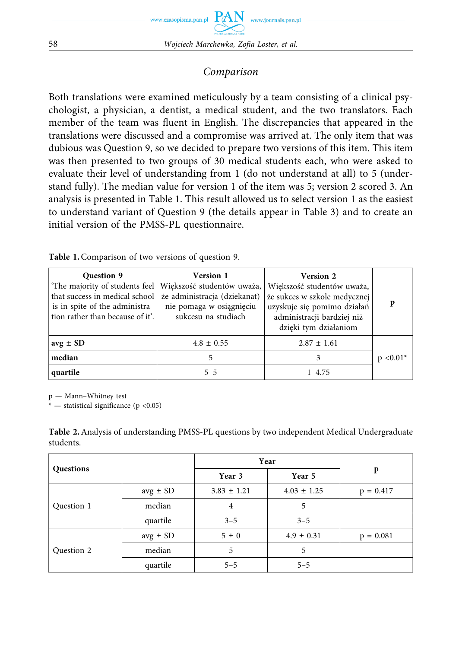## *Comparison*

Both translations were examined meticulously by a team consisting of a clinical psychologist, a physician, a dentist, a medical student, and the two translators. Each member of the team was fluent in English. The discrepancies that appeared in the translations were discussed and a compromise was arrived at. The only item that was dubious was Question 9, so we decided to prepare two versions of this item. This item was then presented to two groups of 30 medical students each, who were asked to evaluate their level of understanding from 1 (do not understand at all) to 5 (understand fully). The median value for version 1 of the item was 5; version 2 scored 3. An analysis is presented in Table 1. This result allowed us to select version 1 as the easiest to understand variant of Question 9 (the details appear in Table 3) and to create an initial version of the PMSS-PL questionnaire.

| <b>Question 9</b><br>that success in medical school<br>is in spite of the administra-<br>tion rather than because of it'. | Version 1<br>'The majority of students feel   Większość studentów uważa,<br>że administracja (dziekanat)<br>nie pomaga w osiągnięciu<br>sukcesu na studiach | <b>Version 2</b><br>Większość studentów uważa,<br>że sukces w szkole medycznej<br>uzyskuje się pomimo działań<br>administracji bardziej niż<br>dzięki tym działaniom | p           |
|---------------------------------------------------------------------------------------------------------------------------|-------------------------------------------------------------------------------------------------------------------------------------------------------------|----------------------------------------------------------------------------------------------------------------------------------------------------------------------|-------------|
| $avg \pm SD$                                                                                                              | $4.8 \pm 0.55$                                                                                                                                              | $2.87 \pm 1.61$                                                                                                                                                      |             |
| median                                                                                                                    | 5                                                                                                                                                           | 3                                                                                                                                                                    | $p < 0.01*$ |
| quartile                                                                                                                  | $5 - 5$                                                                                                                                                     | $1 - 4.75$                                                                                                                                                           |             |

Table 1. Comparison of two versions of question 9.

p — Mann–Whitney test

 $-$  statistical significance (p <0.05)

**Table 2.** Analysis of understanding PMSS-PL questions by two independent Medical Undergraduate students.

| Questions  |              | Year            |                 |             |
|------------|--------------|-----------------|-----------------|-------------|
|            |              | Year 3          | Year 5          | p           |
|            | $avg \pm SD$ | $3.83 \pm 1.21$ | $4.03 \pm 1.25$ | $p = 0.417$ |
| Question 1 | median       | 4               | 5               |             |
|            | quartile     | $3 - 5$         | $3 - 5$         |             |
|            | $avg \pm SD$ | $5 \pm 0$       | $4.9 \pm 0.31$  | $p = 0.081$ |
| Question 2 | median       | 5               | 5               |             |
|            | quartile     | $5 - 5$         | $5 - 5$         |             |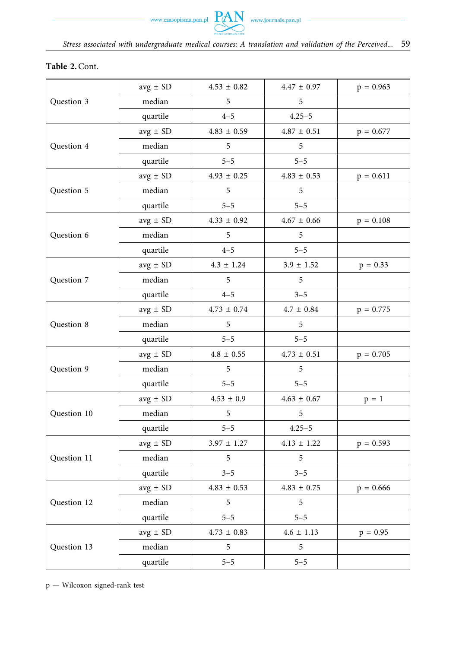### **Table 2.** Cont.

|             | $avg \pm SD$ | $4.53 \pm 0.82$   | $4.47 \pm 0.97$   | $p = 0.963$ |
|-------------|--------------|-------------------|-------------------|-------------|
| Question 3  | median       | 5                 | 5                 |             |
|             | quartile     | $4 - 5$           | $4.25 - 5$        |             |
|             | $avg \pm SD$ | $4.83 \pm 0.59$   | $4.87\,\pm\,0.51$ | $p = 0.677$ |
| Question 4  | median       | 5                 | 5                 |             |
|             | quartile     | $5 - 5$           | $5 - 5$           |             |
|             | $avg \pm SD$ | $4.93 \pm 0.25$   | $4.83\,\pm\,0.53$ | $p = 0.611$ |
| Question 5  | median       | 5                 | 5                 |             |
|             | quartile     | $5 - 5$           | $5 - 5$           |             |
|             | $avg \pm SD$ | $4.33 \pm 0.92$   | $4.67 \pm 0.66$   | $p = 0.108$ |
| Question 6  | median       | 5                 | 5                 |             |
|             | quartile     | $4 - 5$           | $5 - 5$           |             |
|             | $avg \pm SD$ | $4.3 \pm 1.24$    | $3.9 \pm 1.52$    | $p = 0.33$  |
| Question 7  | median       | 5                 | 5                 |             |
|             | quartile     | $4 - 5$           | $3 - 5$           |             |
|             | $avg \pm SD$ | $4.73 \pm 0.74$   | $4.7 \pm 0.84$    | $p = 0.775$ |
| Question 8  | median       | 5                 | 5                 |             |
|             | quartile     | $5 - 5$           | $5 - 5$           |             |
|             | $avg \pm SD$ | $4.8 \pm 0.55$    | $4.73 \pm 0.51$   | $p = 0.705$ |
| Question 9  | median       | $\mathfrak s$     | 5                 |             |
|             | quartile     | $5 - 5$           | $5 - 5$           |             |
|             | $avg \pm SD$ | $4.53\,\pm\,0.9$  | $4.63 \pm 0.67$   | $p = 1$     |
| Question 10 | median       | 5                 | 5                 |             |
|             | quartile     | $5 - 5$           | $4.25 - 5$        |             |
|             | $avg \pm SD$ | $3.97 \pm 1.27$   | $4.13 \pm 1.22$   | $p = 0.593$ |
| Question 11 | median       | 5                 | 5                 |             |
|             | quartile     | $3 - 5$           | $3 - 5$           |             |
|             | $avg \pm SD$ | $4.83\,\pm\,0.53$ | $4.83\,\pm\,0.75$ | $p = 0.666$ |
| Question 12 | median       | 5                 | 5                 |             |
|             | quartile     | $5 - 5$           | $5 - 5$           |             |
|             | $avg \pm SD$ | $4.73 \pm 0.83$   | $4.6 \pm 1.13$    | $p = 0.95$  |
| Question 13 | median       | $\mathfrak s$     | $\mathfrak s$     |             |
|             | quartile     | $5 - 5$           | $5 - 5$           |             |

p — Wilcoxon signed-rank test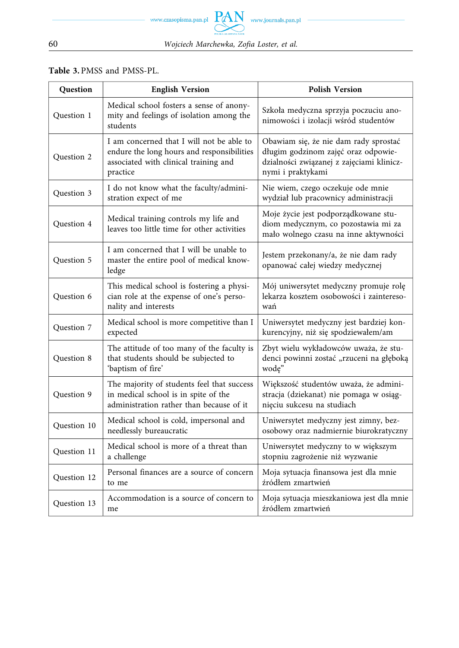### Table 3. PMSS and PMSS-PL.

| Question    | <b>English Version</b>                                                                                                                       | <b>Polish Version</b>                                                                                                                          |
|-------------|----------------------------------------------------------------------------------------------------------------------------------------------|------------------------------------------------------------------------------------------------------------------------------------------------|
| Question 1  | Medical school fosters a sense of anony-<br>mity and feelings of isolation among the<br>students                                             | Szkoła medyczna sprzyja poczuciu ano-<br>nimowości i izolacji wśród studentów                                                                  |
| Question 2  | I am concerned that I will not be able to<br>endure the long hours and responsibilities<br>associated with clinical training and<br>practice | Obawiam się, że nie dam rady sprostać<br>długim godzinom zajęć oraz odpowie-<br>dzialności związanej z zajęciami klinicz-<br>nymi i praktykami |
| Question 3  | I do not know what the faculty/admini-<br>stration expect of me                                                                              | Nie wiem, czego oczekuje ode mnie<br>wydział lub pracownicy administracji                                                                      |
| Question 4  | Medical training controls my life and<br>leaves too little time for other activities                                                         | Moje życie jest podporządkowane stu-<br>diom medycznym, co pozostawia mi za<br>mało wolnego czasu na inne aktywności                           |
| Question 5  | I am concerned that I will be unable to<br>master the entire pool of medical know-<br>ledge                                                  | Jestem przekonany/a, że nie dam rady<br>opanować całej wiedzy medycznej                                                                        |
| Question 6  | This medical school is fostering a physi-<br>cian role at the expense of one's perso-<br>nality and interests                                | Mój uniwersytet medyczny promuje rolę<br>lekarza kosztem osobowości i zaintereso-<br>wań                                                       |
| Question 7  | Medical school is more competitive than I<br>expected                                                                                        | Uniwersytet medyczny jest bardziej kon-<br>kurencyjny, niż się spodziewałem/am                                                                 |
| Question 8  | The attitude of too many of the faculty is<br>that students should be subjected to<br>'baptism of fire'                                      | Zbyt wielu wykładowców uważa, że stu-<br>denci powinni zostać "rzuceni na głęboką<br>wodę"                                                     |
| Question 9  | The majority of students feel that success<br>in medical school is in spite of the<br>administration rather than because of it               | Większość studentów uważa, że admini-<br>stracja (dziekanat) nie pomaga w osiąg-<br>nięciu sukcesu na studiach                                 |
| Question 10 | Medical school is cold, impersonal and<br>needlessly bureaucratic                                                                            | Uniwersytet medyczny jest zimny, bez-<br>osobowy oraz nadmiernie biurokratyczny                                                                |
| Question 11 | Medical school is more of a threat than<br>a challenge                                                                                       | Uniwersytet medyczny to w większym<br>stopniu zagrożenie niż wyzwanie                                                                          |
| Question 12 | Personal finances are a source of concern<br>to me                                                                                           | Moja sytuacja finansowa jest dla mnie<br>źródłem zmartwień                                                                                     |
| Question 13 | Accommodation is a source of concern to<br>me                                                                                                | Moja sytuacja mieszkaniowa jest dla mnie<br>źródłem zmartwień                                                                                  |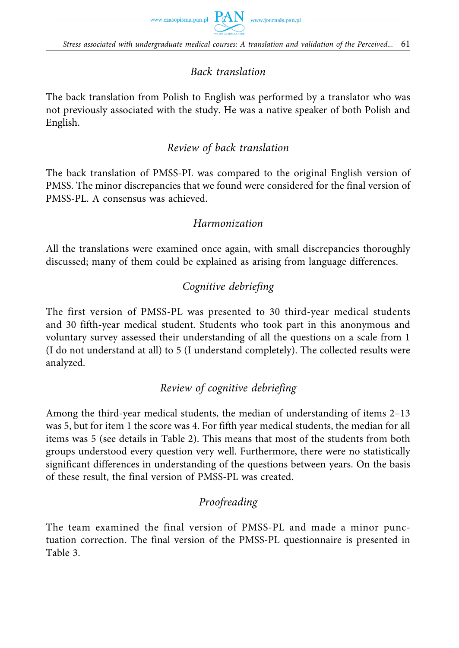

## *Back translation*

The back translation from Polish to English was performed by a translator who was not previously associated with the study. He was a native speaker of both Polish and English.

## *Review of back translation*

The back translation of PMSS-PL was compared to the original English version of PMSS. The minor discrepancies that we found were considered for the final version of PMSS-PL. A consensus was achieved.

## *Harmonization*

All the translations were examined once again, with small discrepancies thoroughly discussed; many of them could be explained as arising from language differences.

# *Cognitive debriefing*

The first version of PMSS-PL was presented to 30 third-year medical students and 30 fifth-year medical student. Students who took part in this anonymous and voluntary survey assessed their understanding of all the questions on a scale from 1 (I do not understand at all) to 5 (I understand completely). The collected results were analyzed.

## *Review of cognitive debriefing*

Among the third-year medical students, the median of understanding of items 2–13 was 5, but for item 1 the score was 4. For fifth year medical students, the median for all items was 5 (see details in Table 2). This means that most of the students from both groups understood every question very well. Furthermore, there were no statistically significant differences in understanding of the questions between years. On the basis of these result, the final version of PMSS-PL was created.

## *Proofreading*

The team examined the final version of PMSS-PL and made a minor punctuation correction. The final version of the PMSS-PL questionnaire is presented in Table 3.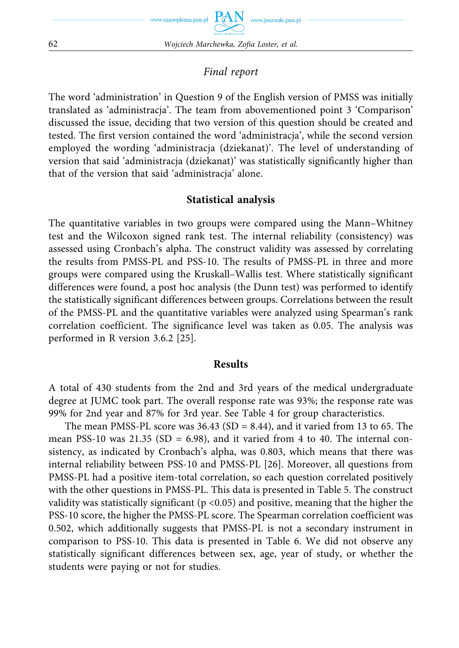

## *Final report*

The word 'administration' in Question 9 of the English version of PMSS was initially translated as 'administracja'. The team from abovementioned point 3 'Comparison' discussed the issue, deciding that two version of this question should be created and tested. The first version contained the word 'administracja', while the second version employed the wording 'administracja (dziekanat)'. The level of understanding of version that said 'administracja (dziekanat)' was statistically significantly higher than that of the version that said 'administracja' alone.

## **Statistical analysis**

The quantitative variables in two groups were compared using the Mann–Whitney test and the Wilcoxon signed rank test. The internal reliability (consistency) was assessed using Cronbach's alpha. The construct validity was assessed by correlating the results from PMSS-PL and PSS-10. The results of PMSS-PL in three and more groups were compared using the Kruskall–Wallis test. Where statistically significant differences were found, a post hoc analysis (the Dunn test) was performed to identify the statistically significant differences between groups. Correlations between the result of the PMSS-PL and the quantitative variables were analyzed using Spearman's rank correlation coefficient. The significance level was taken as 0.05. The analysis was performed in R version 3.6.2 [25].

### **Results**

A total of 430 students from the 2nd and 3rd years of the medical undergraduate degree at JUMC took part. The overall response rate was 93%; the response rate was 99% for 2nd year and 87% for 3rd year. See Table 4 for group characteristics.

The mean PMSS-PL score was  $36.43$  (SD = 8.44), and it varied from 13 to 65. The mean PSS-10 was 21.35 (SD = 6.98), and it varied from 4 to 40. The internal consistency, as indicated by Cronbach's alpha, was 0.803, which means that there was internal reliability between PSS-10 and PMSS-PL [26]. Moreover, all questions from PMSS-PL had a positive item-total correlation, so each question correlated positively with the other questions in PMSS-PL. This data is presented in Table 5. The construct validity was statistically significant ( $p < 0.05$ ) and positive, meaning that the higher the PSS-10 score, the higher the PMSS-PL score. The Spearman correlation coefficient was 0.502, which additionally suggests that PMSS-PL is not a secondary instrument in comparison to PSS-10. This data is presented in Table 6. We did not observe any statistically significant differences between sex, age, year of study, or whether the students were paying or not for studies.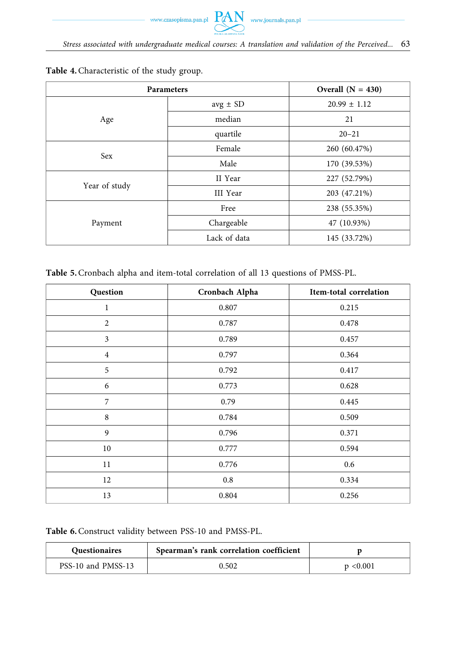| <b>Parameters</b> |                 | Overall $(N = 430)$ |
|-------------------|-----------------|---------------------|
|                   | $avg \pm SD$    | $20.99 \pm 1.12$    |
| Age               | median          | 21                  |
|                   | quartile        | $20 - 21$           |
| <b>Sex</b>        | Female          | 260 (60.47%)        |
|                   | Male            | 170 (39.53%)        |
|                   | II Year         | 227 (52.79%)        |
| Year of study     | <b>III</b> Year | 203 (47.21%)        |
|                   | Free            | 238 (55.35%)        |
| Payment           | Chargeable      | 47 (10.93%)         |
|                   | Lack of data    | 145 (33.72%)        |

**Table 4.** Characteristic of the study group.

**Table 5.** Cronbach alpha and item-total correlation of all 13 questions of PMSS-PL.

| Question       | Cronbach Alpha | Item-total correlation |
|----------------|----------------|------------------------|
| 1              | 0.807          | 0.215                  |
| 2              | 0.787          | 0.478                  |
| 3              | 0.789          | 0.457                  |
| $\overline{4}$ | 0.797          | 0.364                  |
| 5              | 0.792          | 0.417                  |
| 6              | 0.773          | 0.628                  |
| 7              | 0.79           | 0.445                  |
| 8              | 0.784          | 0.509                  |
| 9              | 0.796          | 0.371                  |
| 10             | 0.777          | 0.594                  |
| 11             | 0.776          | 0.6                    |
| 12             | 0.8            | 0.334                  |
| 13             | 0.804          | 0.256                  |

**Table 6.** Construct validity between PSS-10 and PMSS-PL.

| <b>Ouestionaires</b> | Spearman's rank correlation coefficient |               |
|----------------------|-----------------------------------------|---------------|
| PSS-10 and PMSS-13   | 0.502                                   | $p \le 0.001$ |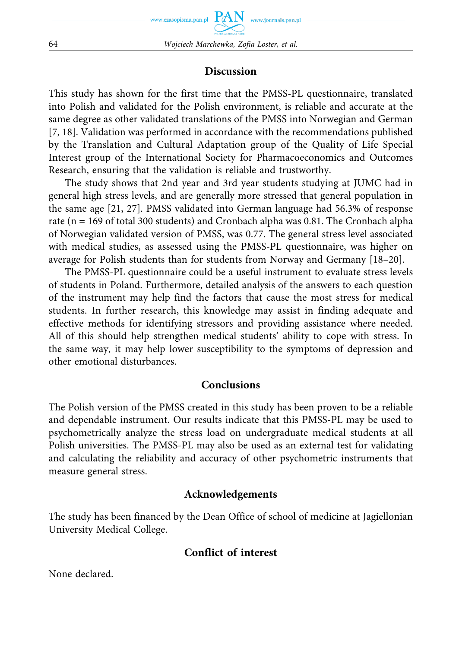#### **Discussion**

This study has shown for the first time that the PMSS-PL questionnaire, translated into Polish and validated for the Polish environment, is reliable and accurate at the same degree as other validated translations of the PMSS into Norwegian and German [7, 18]. Validation was performed in accordance with the recommendations published by the Translation and Cultural Adaptation group of the Quality of Life Special Interest group of the International Society for Pharmacoeconomics and Outcomes Research, ensuring that the validation is reliable and trustworthy.

The study shows that 2nd year and 3rd year students studying at JUMC had in general high stress levels, and are generally more stressed that general population in the same age [21, 27]. PMSS validated into German language had 56.3% of response rate (n = 169 of total 300 students) and Cronbach alpha was 0.81. The Cronbach alpha of Norwegian validated version of PMSS, was 0.77. The general stress level associated with medical studies, as assessed using the PMSS-PL questionnaire, was higher on average for Polish students than for students from Norway and Germany [18–20].

The PMSS-PL questionnaire could be a useful instrument to evaluate stress levels of students in Poland. Furthermore, detailed analysis of the answers to each question of the instrument may help find the factors that cause the most stress for medical students. In further research, this knowledge may assist in finding adequate and effective methods for identifying stressors and providing assistance where needed. All of this should help strengthen medical students' ability to cope with stress. In the same way, it may help lower susceptibility to the symptoms of depression and other emotional disturbances.

#### **Conclusions**

The Polish version of the PMSS created in this study has been proven to be a reliable and dependable instrument. Our results indicate that this PMSS-PL may be used to psychometrically analyze the stress load on undergraduate medical students at all Polish universities. The PMSS-PL may also be used as an external test for validating and calculating the reliability and accuracy of other psychometric instruments that measure general stress.

#### **Acknowledgements**

The study has been financed by the Dean Office of school of medicine at Jagiellonian University Medical College.

### **Conflict of interest**

None declared.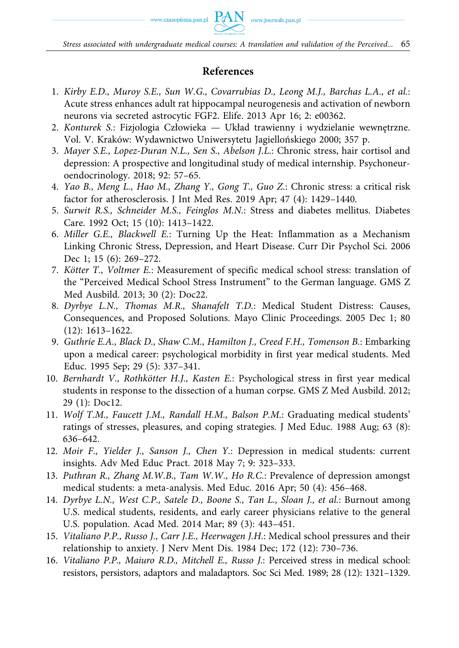

### **References**

- 1. *Kirby E.D., Muroy S.E., Sun W.G., Covarrubias D., Leong M.J., Barchas L.A., et al.*: Acute stress enhances adult rat hippocampal neurogenesis and activation of newborn neurons via secreted astrocytic FGF2. Elife. 2013 Apr 16; 2: e00362.
- 2. *Konturek S.*: Fizjologia Człowieka Układ trawienny i wydzielanie wewnętrzne. Vol. V. Kraków: Wydawnictwo Uniwersytetu Jagiellońskiego 2000; 357 p.
- 3. *Mayer S.E., Lopez-Duran N.L., Sen S., Abelson J.L.*: Chronic stress, hair cortisol and depression: A prospective and longitudinal study of medical internship. Psychoneuroendocrinology. 2018; 92: 57–65.
- 4. *Yao B., Meng L., Hao M., Zhang Y., Gong T., Guo Z.*: Chronic stress: a critical risk factor for atherosclerosis. J Int Med Res. 2019 Apr; 47 (4): 1429–1440.
- 5. *Surwit R.S., Schneider M.S., Feinglos M.N.*: Stress and diabetes mellitus. Diabetes Care. 1992 Oct; 15 (10): 1413–1422.
- 6. *Miller G.E., Blackwell E.*: Turning Up the Heat: Inflammation as a Mechanism Linking Chronic Stress, Depression, and Heart Disease. Curr Dir Psychol Sci. 2006 Dec 1; 15 (6): 269–272.
- 7. *Kötter T., Voltmer E.*: Measurement of specific medical school stress: translation of the "Perceived Medical School Stress Instrument" to the German language. GMS Z Med Ausbild. 2013; 30 (2): Doc22.
- 8. *Dyrbye L.N., Thomas M.R., Shanafelt T.D.*: Medical Student Distress: Causes, Consequences, and Proposed Solutions. Mayo Clinic Proceedings. 2005 Dec 1; 80 (12): 1613–1622.
- 9. *Guthrie E.A., Black D., Shaw C.M., Hamilton J., Creed F.H., Tomenson B.*: Embarking upon a medical career: psychological morbidity in first year medical students. Med Educ. 1995 Sep; 29 (5): 337–341.
- 10. *Bernhardt V., Rothkötter H.J., Kasten E.*: Psychological stress in first year medical students in response to the dissection of a human corpse. GMS Z Med Ausbild. 2012; 29 (1): Doc12.
- 11. *Wolf T.M., Faucett J.M., Randall H.M., Balson P.M.*: Graduating medical students' ratings of stresses, pleasures, and coping strategies. J Med Educ. 1988 Aug; 63 (8): 636–642.
- 12. *Moir F., Yielder J., Sanson J., Chen Y.*: Depression in medical students: current insights. Adv Med Educ Pract. 2018 May 7; 9: 323–333.
- 13. *Puthran R., Zhang M.W.B., Tam W.W., Ho R.C.*: Prevalence of depression amongst medical students: a meta-analysis. Med Educ. 2016 Apr; 50 (4): 456–468.
- 14. *Dyrbye L.N., West C.P., Satele D., Boone S., Tan L., Sloan J., et al.*: Burnout among U.S. medical students, residents, and early career physicians relative to the general U.S. population. Acad Med. 2014 Mar; 89 (3): 443–451.
- 15. *Vitaliano P.P., Russo J., Carr J.E., Heerwagen J.H.*: Medical school pressures and their relationship to anxiety. J Nerv Ment Dis. 1984 Dec; 172 (12): 730–736.
- 16. *Vitaliano P.P., Maiuro R.D., Mitchell E., Russo J.*: Perceived stress in medical school: resistors, persistors, adaptors and maladaptors. Soc Sci Med. 1989; 28 (12): 1321–1329.